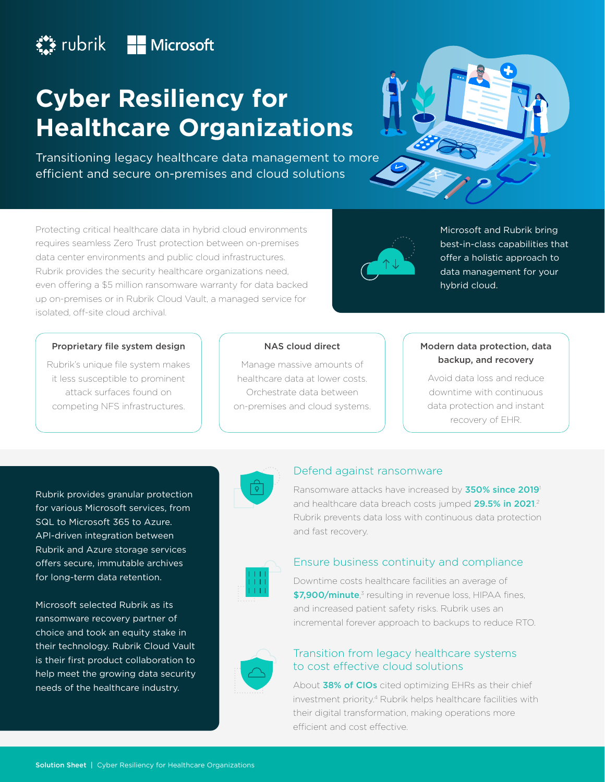# **Example 12** Microsoft

# **Cyber Resiliency for Healthcare Organizations**

Transitioning legacy healthcare data management to more efficient and secure on-premises and cloud solutions



Protecting critical healthcare data in hybrid cloud environments requires seamless Zero Trust protection between on-premises data center environments and public cloud infrastructures. Rubrik provides the security healthcare organizations need, even offering a \$5 million ransomware warranty for data backed up on-premises or in Rubrik Cloud Vault, a managed service for isolated, off-site cloud archival.



Microsoft and Rubrik bring best-in-class capabilities that offer a holistic approach to data management for your hybrid cloud.

#### Proprietary file system design

Rubrik's unique file system makes it less susceptible to prominent attack surfaces found on competing NFS infrastructures.

#### NAS cloud direct

Manage massive amounts of healthcare data at lower costs. Orchestrate data between on-premises and cloud systems.

## Modern data protection, data backup, and recovery

Avoid data loss and reduce downtime with continuous data protection and instant recovery of EHR.

Rubrik provides granular protection for various Microsoft services, from SQL to Microsoft 365 to Azure. API-driven integration between Rubrik and Azure storage services offers secure, immutable archives for long-term data retention.

Microsoft selected Rubrik as its ransomware recovery partner of choice and took an equity stake in their technology. Rubrik Cloud Vault is their first product collaboration to help meet the growing data security needs of the healthcare industry.



#### Defend against ransomware

Ransomware attacks have increased by 350% since 2019<sup>1</sup> and healthcare data breach costs jumped 29.5% in 2021.<sup>2</sup> Rubrik prevents data loss with continuous data protection and fast recovery.



### Ensure business continuity and compliance

Downtime costs healthcare facilities an average of \$7,900/minute,<sup>3</sup> resulting in revenue loss, HIPAA fines, and increased patient safety risks. Rubrik uses an incremental forever approach to backups to reduce RTO.



## Transition from legacy healthcare systems to cost effective cloud solutions

About 38% of CIOs cited optimizing EHRs as their chief investment priority.4 Rubrik helps healthcare facilities with their digital transformation, making operations more efficient and cost effective.